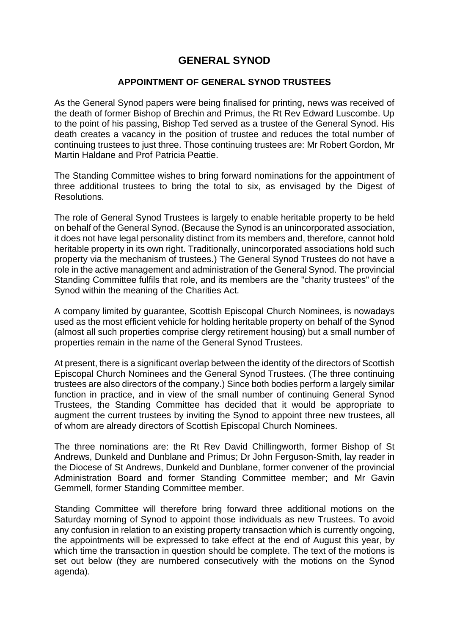## **GENERAL SYNOD**

## **APPOINTMENT OF GENERAL SYNOD TRUSTEES**

As the General Synod papers were being finalised for printing, news was received of the death of former Bishop of Brechin and Primus, the Rt Rev Edward Luscombe. Up to the point of his passing, Bishop Ted served as a trustee of the General Synod. His death creates a vacancy in the position of trustee and reduces the total number of continuing trustees to just three. Those continuing trustees are: Mr Robert Gordon, Mr Martin Haldane and Prof Patricia Peattie.

The Standing Committee wishes to bring forward nominations for the appointment of three additional trustees to bring the total to six, as envisaged by the Digest of Resolutions.

The role of General Synod Trustees is largely to enable heritable property to be held on behalf of the General Synod. (Because the Synod is an unincorporated association, it does not have legal personality distinct from its members and, therefore, cannot hold heritable property in its own right. Traditionally, unincorporated associations hold such property via the mechanism of trustees.) The General Synod Trustees do not have a role in the active management and administration of the General Synod. The provincial Standing Committee fulfils that role, and its members are the "charity trustees" of the Synod within the meaning of the Charities Act.

A company limited by guarantee, Scottish Episcopal Church Nominees, is nowadays used as the most efficient vehicle for holding heritable property on behalf of the Synod (almost all such properties comprise clergy retirement housing) but a small number of properties remain in the name of the General Synod Trustees.

At present, there is a significant overlap between the identity of the directors of Scottish Episcopal Church Nominees and the General Synod Trustees. (The three continuing trustees are also directors of the company.) Since both bodies perform a largely similar function in practice, and in view of the small number of continuing General Synod Trustees, the Standing Committee has decided that it would be appropriate to augment the current trustees by inviting the Synod to appoint three new trustees, all of whom are already directors of Scottish Episcopal Church Nominees.

The three nominations are: the Rt Rev David Chillingworth, former Bishop of St Andrews, Dunkeld and Dunblane and Primus; Dr John Ferguson-Smith, lay reader in the Diocese of St Andrews, Dunkeld and Dunblane, former convener of the provincial Administration Board and former Standing Committee member; and Mr Gavin Gemmell, former Standing Committee member.

Standing Committee will therefore bring forward three additional motions on the Saturday morning of Synod to appoint those individuals as new Trustees. To avoid any confusion in relation to an existing property transaction which is currently ongoing, the appointments will be expressed to take effect at the end of August this year, by which time the transaction in question should be complete. The text of the motions is set out below (they are numbered consecutively with the motions on the Synod agenda).